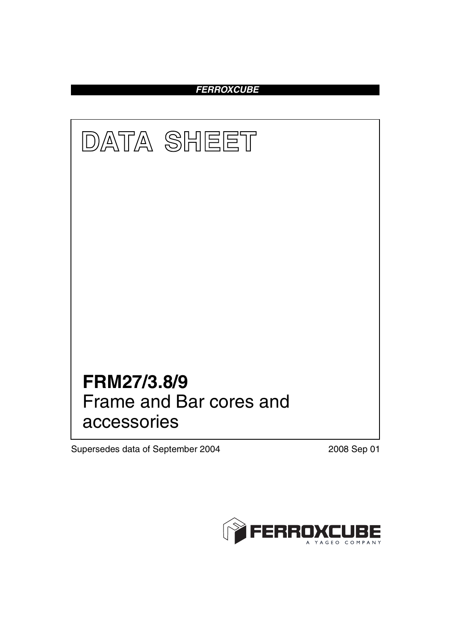*FERROXCUBE*



Supersedes data of September 2004 2008 Sep 01

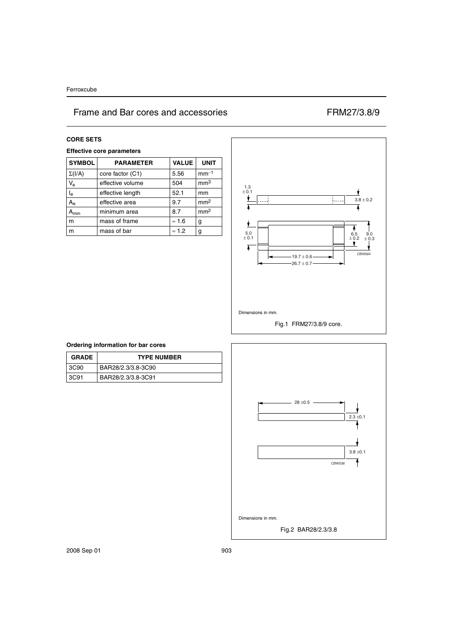**CORE SETS Effective core parameters SYMBOL PARAMETER VALUE UNIT**  $\Sigma(VA)$  core factor (C1) 5.56 mm<sup>-1</sup>  $V_e$  effective volume 504 mm<sup>3</sup>  $I_e$  effective length 52.1 mm  $A_e$  effective area 9.7 mm<sup>2</sup>  $A_{min}$  minimum area 8.7 mm<sup>2</sup> m mass of frame  $\approx 1.6$  g m mass of bar  $\approx 1.2$  g



### **Ordering information for bar cores**

| <b>GRADE</b> | <b>TYPE NUMBER</b> |
|--------------|--------------------|
| 3C90         | BAR28/2.3/3.8-3C90 |
| 3C91         | BAR28/2.3/3.8-3C91 |

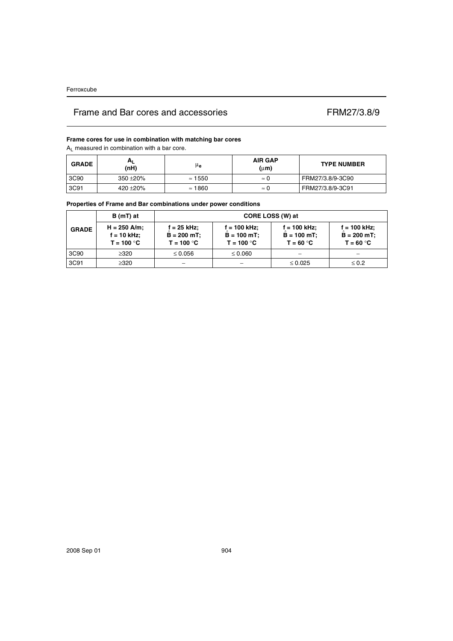### **Frame cores for use in combination with matching bar cores**

 $A_L$  measured in combination with a bar core.

| <b>GRADE</b> | $H_{L}$<br>(nH) | μe             | <b>AIR GAP</b><br>(µm) | <b>TYPE NUMBER</b> |
|--------------|-----------------|----------------|------------------------|--------------------|
| 3C90         | $350 + 20%$     | $\approx$ 1550 | $\approx 0$            | FRM27/3.8/9-3C90   |
| 3C91         | 420 ± 20%       | $\approx$ 1860 | $\approx 0$            | FRM27/3.8/9-3C91   |

### **Properties of Frame and Bar combinations under power conditions**

| <b>GRADE</b> | $B(mT)$ at                                      | CORE LOSS (W) at                               |                                                  |                                               |                                                 |  |
|--------------|-------------------------------------------------|------------------------------------------------|--------------------------------------------------|-----------------------------------------------|-------------------------------------------------|--|
|              | $H = 250$ A/m;<br>$f = 10$ kHz;<br>$T = 100 °C$ | $f = 25$ kHz;<br>$B = 200$ mT;<br>$T = 100 °C$ | $f = 100$ kHz;<br>$B = 100 mT$ ;<br>$T = 100 °C$ | f = 100 kHz;<br>$B = 100 mT$ ;<br>$T = 60 °C$ | $f = 100$ kHz;<br>$B = 200 mT$ ;<br>$T = 60 °C$ |  |
| 3C90         | $\geq$ 320                                      | $\leq 0.056$                                   | $\leq 0.060$                                     |                                               |                                                 |  |
| 3C91         | $\geq$ 320                                      |                                                |                                                  | $\leq 0.025$                                  | $\leq 0.2$                                      |  |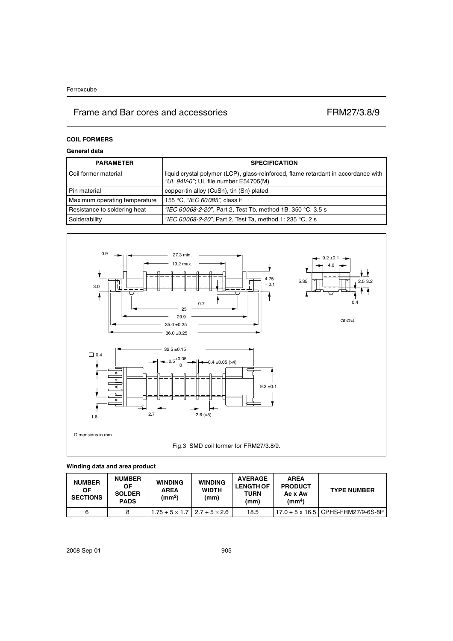## **COIL FORMERS**

## **General data**

| <b>PARAMETER</b>              | <b>SPECIFICATION</b>                                                                                                       |
|-------------------------------|----------------------------------------------------------------------------------------------------------------------------|
| Coil former material          | liquid crystal polymer (LCP), glass-reinforced, flame retardant in accordance with<br>"UL 94V-0"; UL file number E54705(M) |
| Pin material                  | copper-tin alloy (CuSn), tin (Sn) plated                                                                                   |
| Maximum operating temperature | 155 °C, "IEC 60085", class F                                                                                               |
| Resistance to soldering heat  | "IEC 60068-2-20", Part 2, Test Tb, method 1B, 350 °C, 3.5 s                                                                |
| Solderability                 | "IEC 60068-2-20", Part 2, Test Ta, method 1: 235 °C, 2 s                                                                   |



## **Winding data and area product**

| <b>NUMBER</b><br>ΟF<br><b>SECTIONS</b> | <b>NUMBER</b><br>ΟF<br><b>SOLDER</b><br><b>PADS</b> | <b>WINDING</b><br><b>AREA</b><br>(mm <sup>2</sup> ) | <b>WINDING</b><br><b>WIDTH</b><br>(mm) | <b>AVERAGE</b><br><b>LENGTH OF</b><br>TURN<br>(mm) | <b>AREA</b><br><b>PRODUCT</b><br>Ae x Aw<br>$\text{(mm}^4)$ | <b>TYPE NUMBER</b>                 |
|----------------------------------------|-----------------------------------------------------|-----------------------------------------------------|----------------------------------------|----------------------------------------------------|-------------------------------------------------------------|------------------------------------|
| 6                                      |                                                     | $1.75 + 5 \times 1.7$   2.7 + 5 $\times$ 2.6        |                                        | 18.5                                               |                                                             | 17.0 + 5 x 16.5 CPHS-FRM27/9-6S-8P |

2008 Sep 01 905